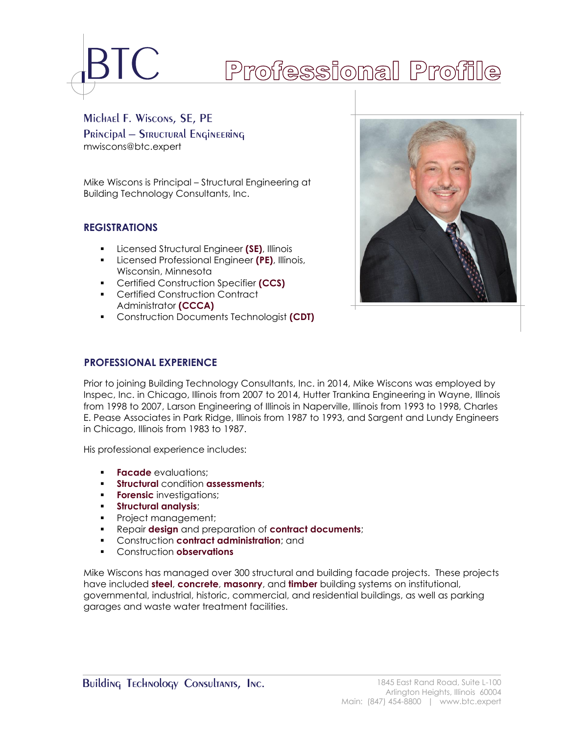# Professional Profile

Michael F. Wiscons, SE, PE **PRINCIPAL - STRUCTURAL ENGINEERING** mwiscons@btc.expert

Mike Wiscons is Principal – Structural Engineering at Building Technology Consultants, Inc.

# **REGISTRATIONS**

- Licensed Structural Engineer **(SE)**, Illinois
- Licensed Professional Engineer **(PE)**, Illinois, Wisconsin, Minnesota
- Certified Construction Specifier **(CCS)**
- Certified Construction Contract Administrator **(CCCA)**
- Construction Documents Technologist **(CDT)**



Prior to joining Building Technology Consultants, Inc. in 2014, Mike Wiscons was employed by Inspec, Inc. in Chicago, Illinois from 2007 to 2014, Hutter Trankina Engineering in Wayne, Illinois from 1998 to 2007, Larson Engineering of Illinois in Naperville, Illinois from 1993 to 1998, Charles E. Pease Associates in Park Ridge, Illinois from 1987 to 1993, and Sargent and Lundy Engineers in Chicago, Illinois from 1983 to 1987.

His professional experience includes:

- **Facade** evaluations:
- **Structural** condition **assessments**;
- **Forensic** investigations;
- **Structural analysis**;
- **•** Project management;
- Repair **design** and preparation of **contract documents**;
- Construction **contract administration**; and
- Construction **observations**

Mike Wiscons has managed over 300 structural and building facade projects. These projects have included **steel**, **concrete**, **masonry**, and **timber** building systems on institutional, governmental, industrial, historic, commercial, and residential buildings, as well as parking garages and waste water treatment facilities.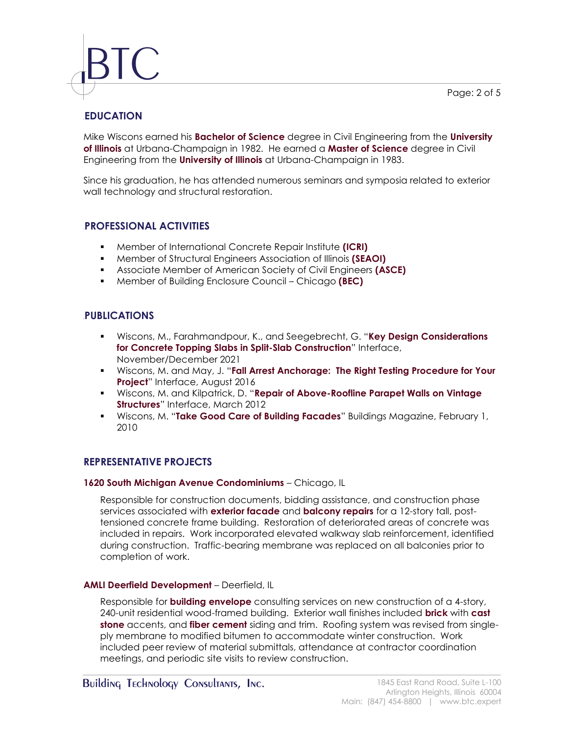Page: 2 of 5



# **1BEDUCATION**

Mike Wiscons earned his **Bachelor of Science** degree in Civil Engineering from the **University of Illinois** at Urbana-Champaign in 1982. He earned a **Master of Science** degree in Civil Engineering from the **University of Illinois** at Urbana-Champaign in 1983.

Since his graduation, he has attended numerous seminars and symposia related to exterior wall technology and structural restoration.

# **2BPROFESSIONAL ACTIVITIES**

- Member of International Concrete Repair Institute **(ICRI)**
- Member of Structural Engineers Association of Illinois **(SEAOI)**
- Associate Member of American Society of Civil Engineers **(ASCE)**
- Member of Building Enclosure Council Chicago **(BEC)**

# **3BPUBLICATIONS**

- Wiscons, M., Farahmandpour, K., and Seegebrecht, G. "**Key Design Considerations for Concrete Topping Slabs in Split-Slab Construction**" Interface, November/December 2021
- Wiscons, M. and May, J. "**Fall Arrest Anchorage: The Right Testing Procedure for Your Project**" Interface, August 2016
- Wiscons, M. and Kilpatrick, D. "**Repair of Above-Roofline Parapet Walls on Vintage Structures**" Interface, March 2012
- Wiscons, M. "**Take Good Care of Building Facades**" Buildings Magazine, February 1, 2010

# **REPRESENTATIVE PROJECTS**

#### **1620 South Michigan Avenue Condominiums** – Chicago, IL

Responsible for construction documents, bidding assistance, and construction phase services associated with **exterior facade** and **balcony repairs** for a 12-story tall, posttensioned concrete frame building. Restoration of deteriorated areas of concrete was included in repairs. Work incorporated elevated walkway slab reinforcement, identified during construction. Traffic-bearing membrane was replaced on all balconies prior to completion of work.

# **AMLI Deerfield Development** – Deerfield, IL

Responsible for **building envelope** consulting services on new construction of a 4-story, 240-unit residential wood-framed building. Exterior wall finishes included **brick** with **cast stone** accents, and **fiber cement** siding and trim. Roofing system was revised from singleply membrane to modified bitumen to accommodate winter construction. Work included peer review of material submittals, attendance at contractor coordination meetings, and periodic site visits to review construction.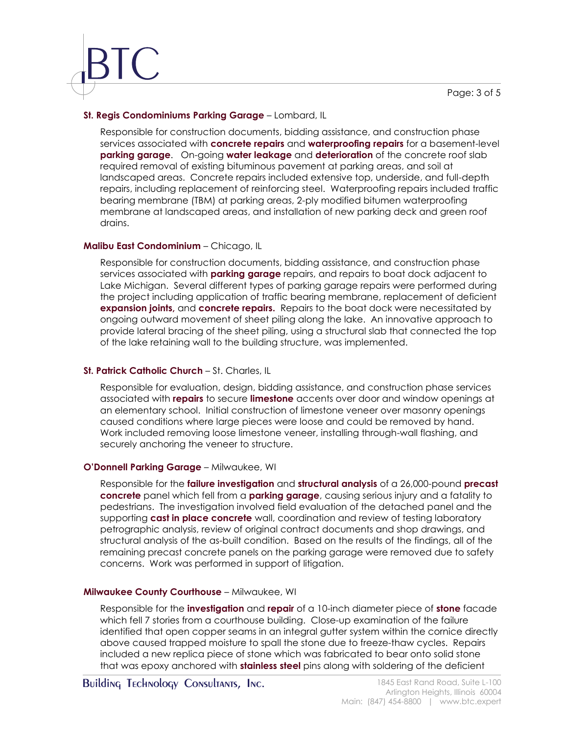# **St. Regis Condominiums Parking Garage** – Lombard, IL

Responsible for construction documents, bidding assistance, and construction phase services associated with **concrete repairs** and **waterproofing repairs** for a basement-level **parking garage**. On-going **water leakage** and **deterioration** of the concrete roof slab required removal of existing bituminous pavement at parking areas, and soil at landscaped areas. Concrete repairs included extensive top, underside, and full-depth repairs, including replacement of reinforcing steel. Waterproofing repairs included traffic bearing membrane (TBM) at parking areas, 2-ply modified bitumen waterproofing membrane at landscaped areas, and installation of new parking deck and green roof drains.

### **Malibu East Condominium** – Chicago, IL

Responsible for construction documents, bidding assistance, and construction phase services associated with **parking garage** repairs, and repairs to boat dock adjacent to Lake Michigan. Several different types of parking garage repairs were performed during the project including application of traffic bearing membrane, replacement of deficient **expansion joints,** and **concrete repairs.** Repairs to the boat dock were necessitated by ongoing outward movement of sheet piling along the lake. An innovative approach to provide lateral bracing of the sheet piling, using a structural slab that connected the top of the lake retaining wall to the building structure, was implemented.

#### **St. Patrick Catholic Church** – St. Charles, IL

Responsible for evaluation, design, bidding assistance, and construction phase services associated with **repairs** to secure **limestone** accents over door and window openings at an elementary school.Initial construction of limestone veneer over masonry openings caused conditions where large pieces were loose and could be removed by hand. Work included removing loose limestone veneer, installing through-wall flashing, and securely anchoring the veneer to structure.

# **O'Donnell Parking Garage** – Milwaukee, WI

Responsible for the **failure investigation** and **structural analysis** of a 26,000-pound **precast concrete** panel which fell from a **parking garage**, causing serious injury and a fatality to pedestrians. The investigation involved field evaluation of the detached panel and the supporting **cast in place concrete** wall, coordination and review of testing laboratory petrographic analysis, review of original contract documents and shop drawings, and structural analysis of the as-built condition. Based on the results of the findings, all of the remaining precast concrete panels on the parking garage were removed due to safety concerns. Work was performed in support of litigation.

#### **Milwaukee County Courthouse** – Milwaukee, WI

Responsible for the **investigation** and **repair** of a 10-inch diameter piece of **stone** facade which fell 7 stories from a courthouse building. Close-up examination of the failure identified that open copper seams in an integral gutter system within the cornice directly above caused trapped moisture to spall the stone due to freeze-thaw cycles. Repairs included a new replica piece of stone which was fabricated to bear onto solid stone that was epoxy anchored with **stainless steel** pins along with soldering of the deficient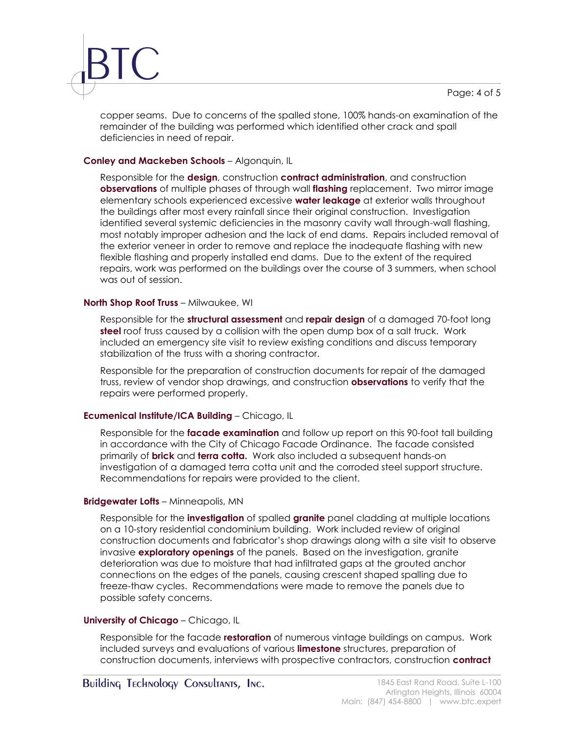

copper seams. Due to concerns of the spalled stone, 100% hands-on examination of the remainder of the building was performed which identified other crack and spall deficiencies in need of repair.

## **Conley and Mackeben Schools** – Algonquin, IL

Responsible for the **design**, construction **contract administration**, and construction **observations** of multiple phases of through wall **flashing** replacement. Two mirror image elementary schools experienced excessive **water leakage** at exterior walls throughout the buildings after most every rainfall since their original construction. Investigation identified several systemic deficiencies in the masonry cavity wall through-wall flashing, most notably improper adhesion and the lack of end dams. Repairs included removal of the exterior veneer in order to remove and replace the inadequate flashing with new flexible flashing and properly installed end dams. Due to the extent of the required repairs, work was performed on the buildings over the course of 3 summers, when school was out of session.

#### **North Shop Roof Truss** – Milwaukee, WI

Responsible for the **structural assessment** and **repair design** of a damaged 70-foot long **steel** roof truss caused by a collision with the open dump box of a salt truck. Work included an emergency site visit to review existing conditions and discuss temporary stabilization of the truss with a shoring contractor.

Responsible for the preparation of construction documents for repair of the damaged truss, review of vendor shop drawings, and construction **observations** to verify that the repairs were performed properly.

#### **Ecumenical Institute/ICA Building** – Chicago, IL

Responsible for the **facade examination** and follow up report on this 90-foot tall building in accordance with the City of Chicago Facade Ordinance. The facade consisted primarily of **brick** and **terra cotta.** Work also included a subsequent hands-on investigation of a damaged terra cotta unit and the corroded steel support structure. Recommendations for repairs were provided to the client.

#### **Bridgewater Lofts** – Minneapolis, MN

Responsible for the **investigation** of spalled **granite** panel cladding at multiple locations on a 10-story residential condominium building. Work included review of original construction documents and fabricator's shop drawings along with a site visit to observe invasive **exploratory openings** of the panels. Based on the investigation, granite deterioration was due to moisture that had infiltrated gaps at the grouted anchor connections on the edges of the panels, causing crescent shaped spalling due to freeze-thaw cycles. Recommendations were made to remove the panels due to possible safety concerns.

#### **University of Chicago** – Chicago, IL

Responsible for the facade **restoration** of numerous vintage buildings on campus. Work included surveys and evaluations of various **limestone** structures, preparation of construction documents, interviews with prospective contractors, construction **contract**